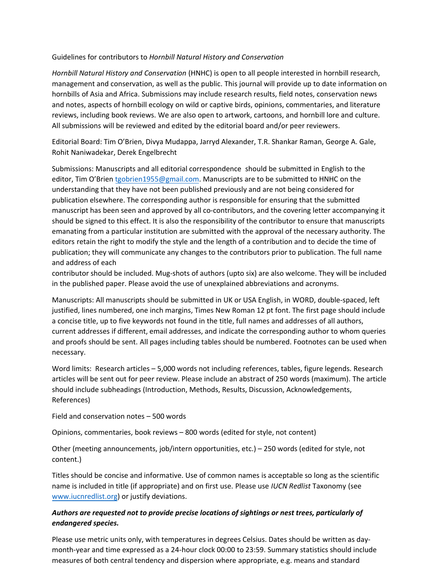## Guidelines for contributors to *Hornbill Natural History and Conservation*

*Hornbill Natural History and Conservation* (HNHC) is open to all people interested in hornbill research, management and conservation, as well as the public. This journal will provide up to date information on hornbills of Asia and Africa. Submissions may include research results, field notes, conservation news and notes, aspects of hornbill ecology on wild or captive birds, opinions, commentaries, and literature reviews, including book reviews. We are also open to artwork, cartoons, and hornbill lore and culture. All submissions will be reviewed and edited by the editorial board and/or peer reviewers.

Editorial Board: Tim O'Brien, Divya Mudappa, Jarryd Alexander, T.R. Shankar Raman, George A. Gale, Rohit Naniwadekar, Derek Engelbrecht

Submissions: Manuscripts and all editorial correspondence should be submitted in English to the editor, Tim O'Brien [tgobrien1955@gmail.com](mailto: tgobrien1955@gmail.com). Manuscripts are to be submitted to HNHC on the understanding that they have not been published previously and are not being considered for publication elsewhere. The corresponding author is responsible for ensuring that the submitted manuscript has been seen and approved by all co-contributors, and the covering letter accompanying it should be signed to this effect. It is also the responsibility of the contributor to ensure that manuscripts emanating from a particular institution are submitted with the approval of the necessary authority. The editors retain the right to modify the style and the length of a contribution and to decide the time of publication; they will communicate any changes to the contributors prior to publication. The full name and address of each

contributor should be included. Mug-shots of authors (upto six) are also welcome. They will be included in the published paper. Please avoid the use of unexplained abbreviations and acronyms.

Manuscripts: All manuscripts should be submitted in UK or USA English, in WORD, double-spaced, left justified, lines numbered, one inch margins, Times New Roman 12 pt font. The first page should include a concise title, up to five keywords not found in the title, full names and addresses of all authors, current addresses if different, email addresses, and indicate the corresponding author to whom queries and proofs should be sent. All pages including tables should be numbered. Footnotes can be used when necessary.

Word limits: Research articles – 5,000 words not including references, tables, figure legends. Research articles will be sent out for peer review. Please include an abstract of 250 words (maximum). The article should include subheadings (Introduction, Methods, Results, Discussion, Acknowledgements, References)

Field and conservation notes – 500 words

Opinions, commentaries, book reviews – 800 words (edited for style, not content)

Other (meeting announcements, job/intern opportunities, etc.) – 250 words (edited for style, not content.)

[Titles should be conc](http://www.iucnredlist.org/)ise and informative. Use of common names is acceptable so long as the scientific name is included in title (if appropriate) and on first use. Please use *IUCN Redlist* Taxonomy (see www.iucnredlist.org) or justify deviations.

## *Authors are requested not to provide precise locations of sightings or nest trees, particularly of endangered species.*

Please use metric units only, with temperatures in degrees Celsius. Dates should be written as daymonth-year and time expressed as a 24-hour clock 00:00 to 23:59. Summary statistics should include measures of both central tendency and dispersion where appropriate, e.g. means and standard